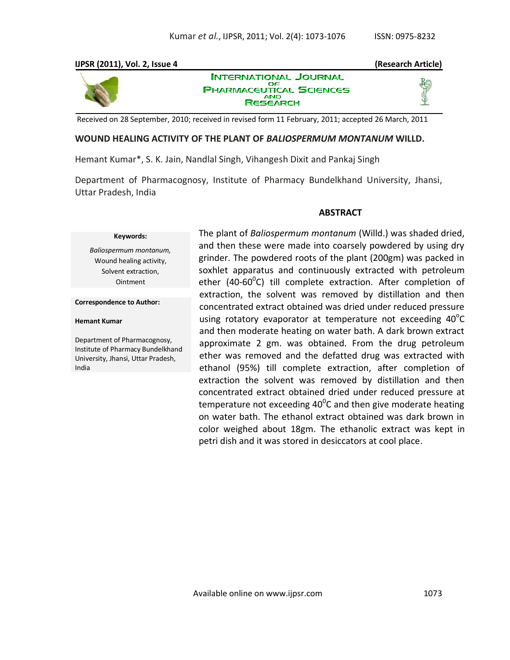#### **IJPSR (2011), Vol. 2, Issue 4 (Research Article) INTERNATIONAL JOURNAL** OΕ **PHARMACEUTICAL SCIENCES AND RESEARCH**

Received on 28 September, 2010; received in revised form 11 February, 2011; accepted 26 March, 2011

### **WOUND HEALING ACTIVITY OF THE PLANT OF** *BALIOSPERMUM MONTANUM* **WILLD.**

Hemant Kumar\*, S. K. Jain, Nandlal Singh, Vihangesh Dixit and Pankaj Singh

Department of Pharmacognosy, Institute of Pharmacy Bundelkhand University, Jhansi, Uttar Pradesh, India

#### **ABSTRACT**

#### **Keywords:**

*Baliospermum montanum,*  Wound healing activity, Solvent extraction, Ointment

**Correspondence to Author:**

#### **Hemant Kumar**

Department of Pharmacognosy, Institute of Pharmacy Bundelkhand University, Jhansi, Uttar Pradesh, India

The plant of *Baliospermum montanum* (Willd.) was shaded dried, and then these were made into coarsely powdered by using dry grinder. The powdered roots of the plant (200gm) was packed in soxhlet apparatus and continuously extracted with petroleum ether (40-60<sup>0</sup>C) till complete extraction. After completion of extraction, the solvent was removed by distillation and then concentrated extract obtained was dried under reduced pressure using rotatory evaporator at temperature not exceeding  $40^{\circ}$ C and then moderate heating on water bath. A dark brown extract approximate 2 gm. was obtained. From the drug petroleum ether was removed and the defatted drug was extracted with ethanol (95%) till complete extraction, after completion of extraction the solvent was removed by distillation and then concentrated extract obtained dried under reduced pressure at temperature not exceeding 40<sup>0</sup>C and then give moderate heating on water bath. The ethanol extract obtained was dark brown in color weighed about 18gm. The ethanolic extract was kept in petri dish and it was stored in desiccators at cool place.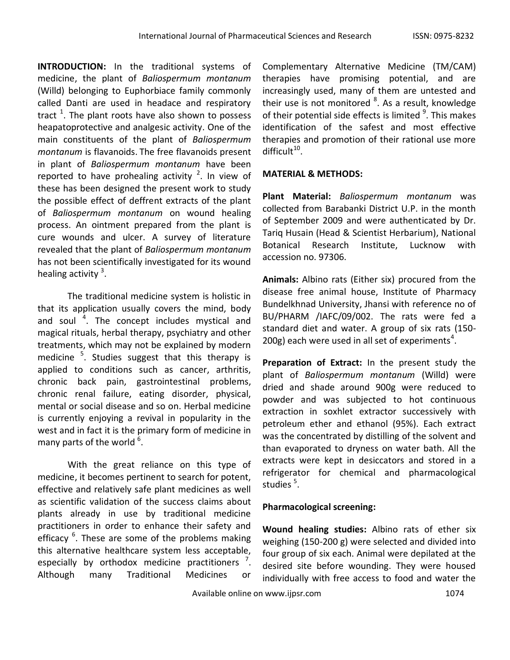**INTRODUCTION:** In the traditional systems of medicine, the plant of *Baliospermum montanum* (Willd) belonging to Euphorbiace family commonly called Danti are used in headace and respiratory tract  $^1$ . The plant roots have also shown to possess heapatoprotective and analgesic activity. One of the main constituents of the plant of *Baliospermum montanum* is flavanoids. The free flavanoids present in plant of *Baliospermum montanum* have been reported to have prohealing activity  $2$ . In view of these has been designed the present work to study the possible effect of deffrent extracts of the plant of *Baliospermum montanum* on wound healing process. An ointment prepared from the plant is cure wounds and ulcer. A survey of literature revealed that the plant of *Baliospermum montanum* has not been scientifically investigated for its wound healing activity<sup>3</sup>.

The traditional medicine system is holistic in that its application usually covers the mind, body and soul <sup>4</sup>. The concept includes mystical and magical rituals, herbal therapy, psychiatry and other treatments, which may not be explained by modern medicine <sup>5</sup>. Studies suggest that this therapy is applied to conditions such as cancer, arthritis, chronic back pain, gastrointestinal problems, chronic renal failure, eating disorder, physical, mental or social disease and so on. Herbal medicine is currently enjoying a revival in popularity in the west and in fact it is the primary form of medicine in many parts of the world  $^6$ .

With the great reliance on this type of medicine, it becomes pertinent to search for potent, effective and relatively safe plant medicines as well as scientific validation of the success claims about plants already in use by traditional medicine practitioners in order to enhance their safety and efficacy <sup>6</sup>. These are some of the problems making this alternative healthcare system less acceptable, especially by orthodox medicine practitioners  $\frac{7}{1}$ . Although many Traditional Medicines or

Complementary Alternative Medicine (TM/CAM) therapies have promising potential, and are increasingly used, many of them are untested and their use is not monitored <sup>8</sup>. As a result, knowledge of their potential side effects is limited <sup>9</sup>. This makes identification of the safest and most effective therapies and promotion of their rational use more  $difficult<sup>10</sup>$ .

## **MATERIAL & METHODS:**

**Plant Material:** *Baliospermum montanum* was collected from Barabanki District U.P. in the month of September 2009 and were authenticated by Dr. Tariq Husain (Head & Scientist Herbarium), National Botanical Research Institute, Lucknow with accession no. 97306.

**Animals:** Albino rats (Either six) procured from the disease free animal house, Institute of Pharmacy Bundelkhnad University, Jhansi with reference no of BU/PHARM /IAFC/09/002. The rats were fed a standard diet and water. A group of six rats (150- 200g) each were used in all set of experiments<sup>4</sup>.

**Preparation of Extract:** In the present study the plant of *Baliospermum montanum* (Willd) were dried and shade around 900g were reduced to powder and was subjected to hot continuous extraction in soxhlet extractor successively with petroleum ether and ethanol (95%). Each extract was the concentrated by distilling of the solvent and than evaporated to dryness on water bath. All the extracts were kept in desiccators and stored in a refrigerator for chemical and pharmacological studies<sup>5</sup>.

## **Pharmacological screening:**

**Wound healing studies:** Albino rats of ether six weighing (150-200 g) were selected and divided into four group of six each. Animal were depilated at the desired site before wounding. They were housed individually with free access to food and water the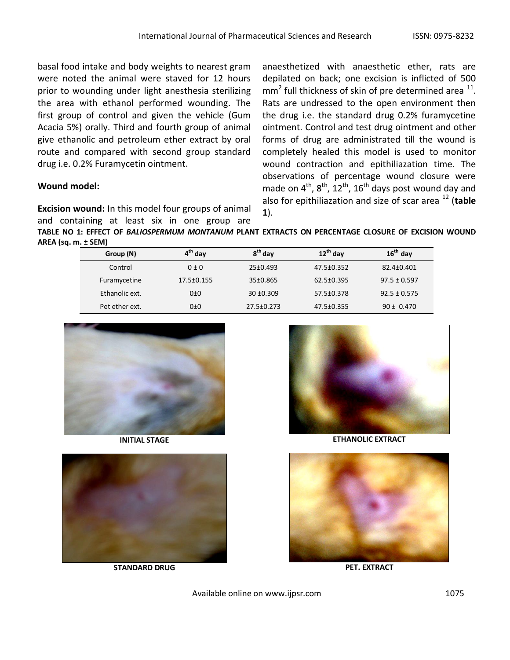basal food intake and body weights to nearest gram were noted the animal were staved for 12 hours prior to wounding under light anesthesia sterilizing the area with ethanol performed wounding. The first group of control and given the vehicle (Gum Acacia 5%) orally. Third and fourth group of animal give ethanolic and petroleum ether extract by oral route and compared with second group standard drug i.e. 0.2% Furamycetin ointment.

# **Wound model:**

**Excision wound:** In this model four groups of animal and containing at least six in one group are

anaesthetized with anaesthetic ether, rats are depilated on back; one excision is inflicted of 500  $mm<sup>2</sup>$  full thickness of skin of pre determined area  $^{11}$ . Rats are undressed to the open environment then the drug i.e. the standard drug 0.2% furamycetine ointment. Control and test drug ointment and other forms of drug are administrated till the wound is completely healed this model is used to monitor wound contraction and epithiliazation time. The observations of percentage wound closure were made on  $4^{th}$ ,  $8^{th}$ ,  $12^{th}$ ,  $16^{th}$  days post wound day and also for epithiliazation and size of scar area <sup>12</sup> (**table 1**).

**TABLE NO 1: EFFECT OF** *BALIOSPERMUM MONTANUM* **PLANT EXTRACTS ON PERCENTAGE CLOSURE OF EXCISION WOUND AREA (sq. m. ± SEM)**

| Group (N)      | $4th$ day  | 8 <sup>th</sup> day | $12^{th}$ day    | $16th$ day       |
|----------------|------------|---------------------|------------------|------------------|
| Control        | $0 \pm 0$  | $25 \pm 0.493$      | $47.5 \pm 0.352$ | 82.4±0.401       |
| Furamycetine   | 17.5±0.155 | $35 \pm 0.865$      | $62.5 \pm 0.395$ | $97.5 \pm 0.597$ |
| Ethanolic ext. | 0±0        | $30 + 0.309$        | 57.5±0.378       | $92.5 \pm 0.575$ |
| Pet ether ext. | 0±0        | $27.5 \pm 0.273$    | 47.5±0.355       | $90 \pm 0.470$   |



**INITIAL STAGE**



**STANDARD DRUG**



**ETHANOLIC EXTRACT**



**PET. EXTRACT**

Available online on www.ijpsr.com  $1075$